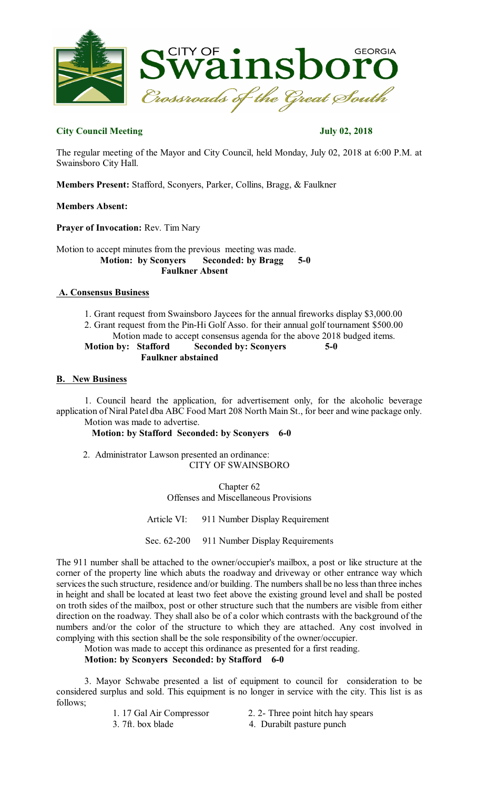

# **City Council Meeting July 02, 2018**

The regular meeting of the Mayor and City Council, held Monday, July 02, 2018 at 6:00 P.M. at Swainsboro City Hall.

**Members Present:** Stafford, Sconyers, Parker, Collins, Bragg, & Faulkner

# **Members Absent:**

**Prayer of Invocation:** Rev. Tim Nary

Motion to accept minutes from the previous meeting was made. **Motion: by Sconyers Seconded: by Bragg 5-0 Faulkner Absent**

## **A. Consensus Business**

1. Grant request from Swainsboro Jaycees for the annual fireworks display \$3,000.00 2. Grant request from the Pin-Hi Golf Asso. for their annual golf tournament \$500.00

Motion made to accept consensus agenda for the above 2018 budged items.

**Motion by: Stafford Seconded by: Sconyers 5-0 Faulkner abstained** 

## **B. New Business**

1. Council heard the application, for advertisement only, for the alcoholic beverage application of Niral Patel dba ABC Food Mart 208 North Main St., for beer and wine package only. Motion was made to advertise.

**Motion: by Stafford Seconded: by Sconyers 6-0** 

2. Administrator Lawson presented an ordinance: CITY OF SWAINSBORO

> Chapter 62 Offenses and Miscellaneous Provisions

Article VI: 911 Number Display Requirement

Sec. 62-200 911 Number Display Requirements

The 911 number shall be attached to the owner/occupier's mailbox, a post or like structure at the corner of the property line which abuts the roadway and driveway or other entrance way which services the such structure, residence and/or building. The numbers shall be no less than three inches in height and shall be located at least two feet above the existing ground level and shall be posted on troth sides of the mailbox, post or other structure such that the numbers are visible from either direction on the roadway. They shall also be of a color which contrasts with the background of the numbers and/or the color of the structure to which they are attached. Any cost involved in complying with this section shall be the sole responsibility of the owner/occupier.

Motion was made to accept this ordinance as presented for a first reading.

### **Motion: by Sconyers Seconded: by Stafford 6-0**

3. Mayor Schwabe presented a list of equipment to council for consideration to be considered surplus and sold. This equipment is no longer in service with the city. This list is as follows;

- 
- 
- 1. 17 Gal Air Compressor 2. 2- Three point hitch hay spears
- 3. 7ft. box blade 4. Durabilt pasture punch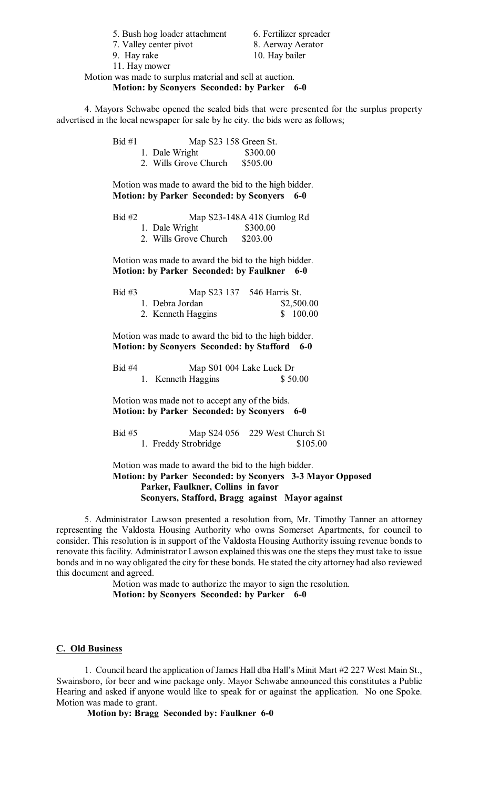5. Bush hog loader attachment 6. Fertilizer spreader

7. Valley center pivot 8. Aerway Aerator

9. Hay rake 10. Hay bailer

11. Hay mower

### Motion was made to surplus material and sell at auction. **Motion: by Sconyers Seconded: by Parker 6-0**

4. Mayors Schwabe opened the sealed bids that were presented for the surplus property advertised in the local newspaper for sale by he city. the bids were as follows;

| Bid #1 |                       | Map S23 158 Green St. |  |  |
|--------|-----------------------|-----------------------|--|--|
|        | 1. Dale Wright        | \$300.00              |  |  |
|        | 2. Wills Grove Church | \$505.00              |  |  |

Motion was made to award the bid to the high bidder. **Motion: by Parker Seconded: by Sconyers 6-0** 

| $Bid \#2$ | Map S23-148A 418 Gumlog Rd |          |
|-----------|----------------------------|----------|
|           | 1. Dale Wright             | \$300.00 |
|           | 2. Wills Grove Church      | \$203.00 |

Motion was made to award the bid to the high bidder. **Motion: by Parker Seconded: by Faulkner 6-0** 

| Bid #3 |                    | Map S23 137 546 Harris St. |
|--------|--------------------|----------------------------|
|        | 1. Debra Jordan    | \$2,500.00                 |
|        | 2. Kenneth Haggins | \$100.00                   |

Motion was made to award the bid to the high bidder. **Motion: by Sconyers Seconded: by Stafford 6-0** 

| Bid #4 | Map S01 004 Lake Luck Dr |                    |         |
|--------|--------------------------|--------------------|---------|
|        |                          | 1. Kenneth Haggins | \$50.00 |

Motion was made not to accept any of the bids. **Motion: by Parker Seconded: by Sconyers 6-0** 

Bid #5 Map S24 056 229 West Church St 1. Freddy Strobridge \$105.00

Motion was made to award the bid to the high bidder. **Motion: by Parker Seconded: by Sconyers 3-3 Mayor Opposed Parker, Faulkner, Collins in favor Sconyers, Stafford, Bragg against Mayor against**

5. Administrator Lawson presented a resolution from, Mr. Timothy Tanner an attorney representing the Valdosta Housing Authority who owns Somerset Apartments, for council to consider. This resolution is in support of the Valdosta Housing Authority issuing revenue bonds to renovate this facility. Administrator Lawson explained this was one the steps they must take to issue bonds and in no way obligated the city for these bonds. He stated the city attorney had also reviewed this document and agreed.

> Motion was made to authorize the mayor to sign the resolution. **Motion: by Sconyers Seconded: by Parker 6-0**

# **C. Old Business**

1. Council heard the application of James Hall dba Hall's Minit Mart #2 227 West Main St., Swainsboro, for beer and wine package only. Mayor Schwabe announced this constitutes a Public Hearing and asked if anyone would like to speak for or against the application. No one Spoke. Motion was made to grant.

**Motion by: Bragg Seconded by: Faulkner 6-0**